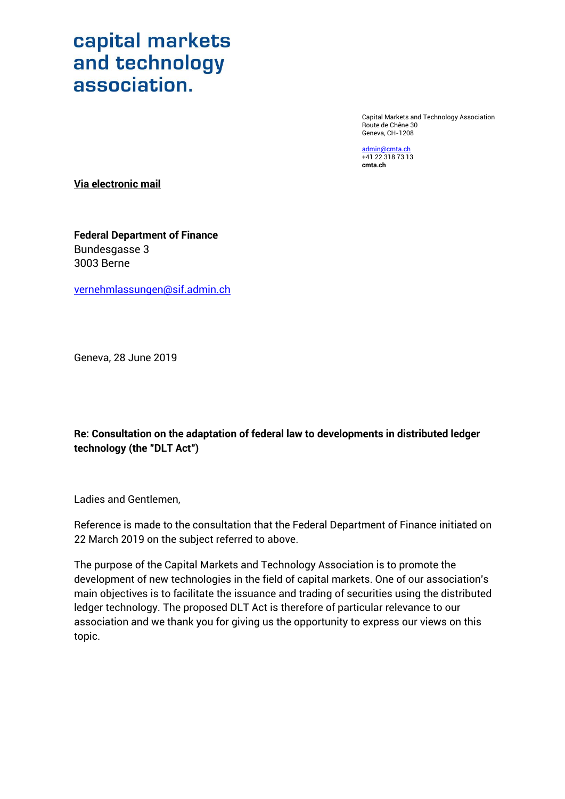Capital Markets and Technology Association Route de Chêne 30 Geneva, CH-1208

[admin@cmta.ch](mailto:admin@cmta.ch) +41 22 318 73 13 **cmta.ch**

**Via electronic mail**

**Federal Department of Finance** Bundesgasse 3 3003 Berne

[vernehmlassungen@sif.admin.ch](mailto:vernehmlassungen@sif.admin.ch)

Geneva, 28 June 2019

**Re: Consultation on the adaptation of federal law to developments in distributed ledger technology (the "DLT Act")**

Ladies and Gentlemen,

Reference is made to the consultation that the Federal Department of Finance initiated on 22 March 2019 on the subject referred to above.

The purpose of the Capital Markets and Technology Association is to promote the development of new technologies in the field of capital markets. One of our association's main objectives is to facilitate the issuance and trading of securities using the distributed ledger technology. The proposed DLT Act is therefore of particular relevance to our association and we thank you for giving us the opportunity to express our views on this topic.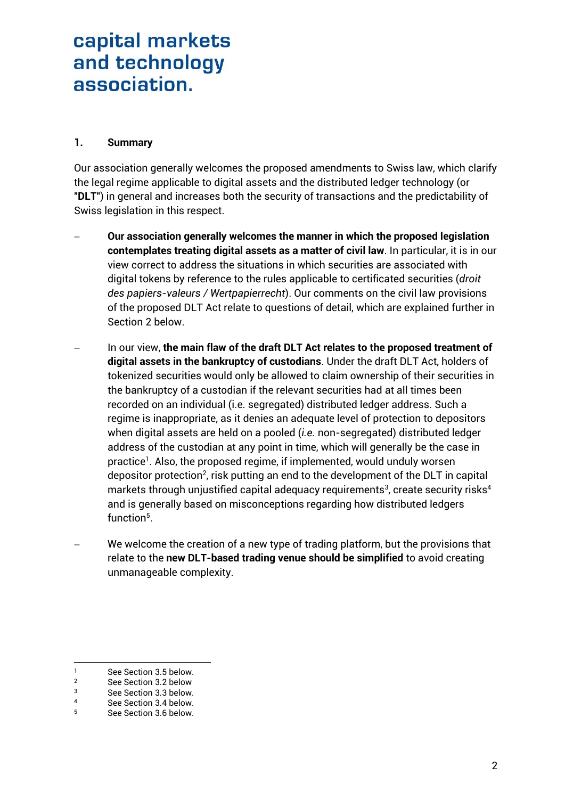### **1. Summary**

Our association generally welcomes the proposed amendments to Swiss law, which clarify the legal regime applicable to digital assets and the distributed ledger technology (or "**DLT**") in general and increases both the security of transactions and the predictability of Swiss legislation in this respect.

- **Our association generally welcomes the manner in which the proposed legislation contemplates treating digital assets as a matter of civil law**. In particular, it is in our view correct to address the situations in which securities are associated with digital tokens by reference to the rules applicable to certificated securities (*droit des papiers-valeurs / Wertpapierrecht*). Our comments on the civil law provisions of the proposed DLT Act relate to questions of detail, which are explained further in Section [2](#page-2-0) below.
- In our view, **the main flaw of the draft DLT Act relates to the proposed treatment of digital assets in the bankruptcy of custodians**. Under the draft DLT Act, holders of tokenized securities would only be allowed to claim ownership of their securities in the bankruptcy of a custodian if the relevant securities had at all times been recorded on an individual (i.e. segregated) distributed ledger address. Such a regime is inappropriate, as it denies an adequate level of protection to depositors when digital assets are held on a pooled (*i.e.* non-segregated) distributed ledger address of the custodian at any point in time, which will generally be the case in practice<sup>1</sup>. Also, the proposed regime, if implemented, would unduly worsen depositor protection<sup>2</sup>, risk putting an end to the development of the DLT in capital markets through unjustified capital adequacy requirements $^{\rm 3}$ , create security risks $^{\rm 4}$ and is generally based on misconceptions regarding how distributed ledgers function<sup>5</sup>.
- We welcome the creation of a new type of trading platform, but the provisions that relate to the **new DLT-based trading venue should be simplified** to avoid creating unmanageable complexity.

1

<sup>1</sup> See Section [3.5](#page-8-0) below.<br>2 See Section 3.2 below.

<sup>&</sup>lt;sup>2</sup> See Section [3.2](#page-6-0) below

<sup>3</sup> See Section [3.3](#page-6-1) below.

<sup>4</sup> See Section [3.4](#page-7-0) below.<br>5 See Section 3.6 below.

<sup>5</sup> See Section [3.6](#page-9-0) below.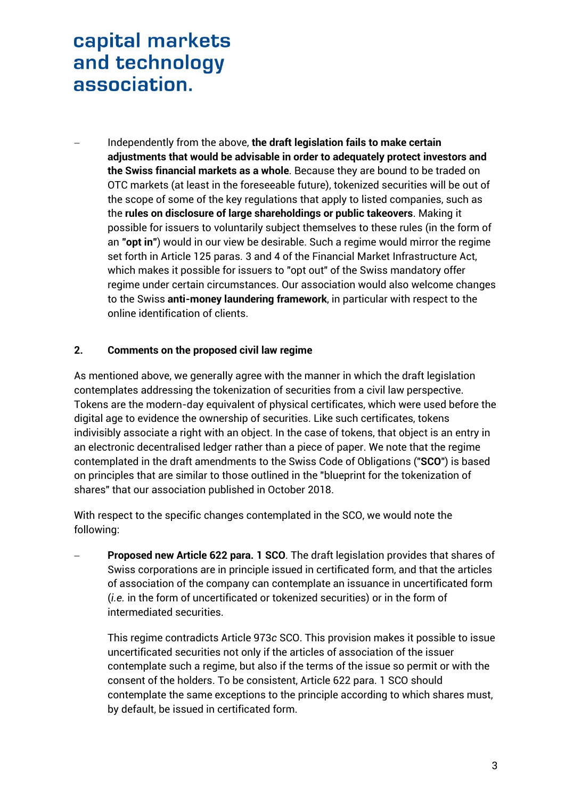Independently from the above, **the draft legislation fails to make certain adjustments that would be advisable in order to adequately protect investors and the Swiss financial markets as a whole**. Because they are bound to be traded on OTC markets (at least in the foreseeable future), tokenized securities will be out of the scope of some of the key regulations that apply to listed companies, such as the **rules on disclosure of large shareholdings or public takeovers**. Making it possible for issuers to voluntarily subject themselves to these rules (in the form of an **"opt in"**) would in our view be desirable. Such a regime would mirror the regime set forth in Article 125 paras. 3 and 4 of the Financial Market Infrastructure Act, which makes it possible for issuers to "opt out" of the Swiss mandatory offer regime under certain circumstances. Our association would also welcome changes to the Swiss **anti-money laundering framework**, in particular with respect to the online identification of clients.

### <span id="page-2-0"></span>**2. Comments on the proposed civil law regime**

As mentioned above, we generally agree with the manner in which the draft legislation contemplates addressing the tokenization of securities from a civil law perspective. Tokens are the modern-day equivalent of physical certificates, which were used before the digital age to evidence the ownership of securities. Like such certificates, tokens indivisibly associate a right with an object. In the case of tokens, that object is an entry in an electronic decentralised ledger rather than a piece of paper. We note that the regime contemplated in the draft amendments to the Swiss Code of Obligations ("**SCO**") is based on principles that are similar to those outlined in the "blueprint for the tokenization of shares" that our association published in October 2018.

With respect to the specific changes contemplated in the SCO, we would note the following:

 **Proposed new Article 622 para. 1 SCO**. The draft legislation provides that shares of Swiss corporations are in principle issued in certificated form, and that the articles of association of the company can contemplate an issuance in uncertificated form (*i.e.* in the form of uncertificated or tokenized securities) or in the form of intermediated securities.

This regime contradicts Article 973*c* SCO. This provision makes it possible to issue uncertificated securities not only if the articles of association of the issuer contemplate such a regime, but also if the terms of the issue so permit or with the consent of the holders. To be consistent, Article 622 para. 1 SCO should contemplate the same exceptions to the principle according to which shares must, by default, be issued in certificated form.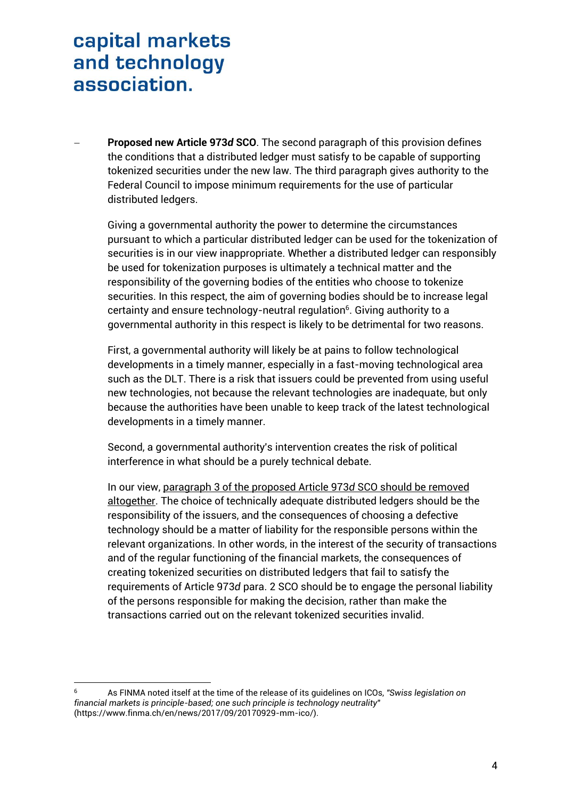**Proposed new Article 973***d* **SCO**. The second paragraph of this provision defines the conditions that a distributed ledger must satisfy to be capable of supporting tokenized securities under the new law. The third paragraph gives authority to the Federal Council to impose minimum requirements for the use of particular distributed ledgers.

Giving a governmental authority the power to determine the circumstances pursuant to which a particular distributed ledger can be used for the tokenization of securities is in our view inappropriate. Whether a distributed ledger can responsibly be used for tokenization purposes is ultimately a technical matter and the responsibility of the governing bodies of the entities who choose to tokenize securities. In this respect, the aim of governing bodies should be to increase legal certainty and ensure technology-neutral regulation $^6$ . Giving authority to a governmental authority in this respect is likely to be detrimental for two reasons.

First, a governmental authority will likely be at pains to follow technological developments in a timely manner, especially in a fast-moving technological area such as the DLT. There is a risk that issuers could be prevented from using useful new technologies, not because the relevant technologies are inadequate, but only because the authorities have been unable to keep track of the latest technological developments in a timely manner.

Second, a governmental authority's intervention creates the risk of political interference in what should be a purely technical debate.

In our view, paragraph 3 of the proposed Article 973*d* SCO should be removed altogether. The choice of technically adequate distributed ledgers should be the responsibility of the issuers, and the consequences of choosing a defective technology should be a matter of liability for the responsible persons within the relevant organizations. In other words, in the interest of the security of transactions and of the regular functioning of the financial markets, the consequences of creating tokenized securities on distributed ledgers that fail to satisfy the requirements of Article 973*d* para. 2 SCO should be to engage the personal liability of the persons responsible for making the decision, rather than make the transactions carried out on the relevant tokenized securities invalid.

1

<sup>6</sup> As FINMA noted itself at the time of the release of its guidelines on ICOs, *"Swiss legislation on financial markets is principle-based; one such principle is technology neutrality*" (https://www.finma.ch/en/news/2017/09/20170929-mm-ico/).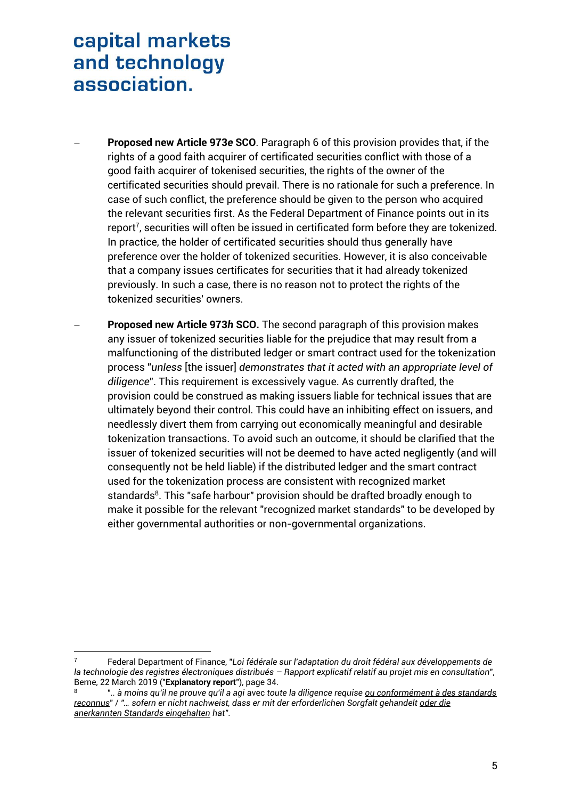-

- **Proposed new Article 973***e* **SCO**. Paragraph 6 of this provision provides that, if the rights of a good faith acquirer of certificated securities conflict with those of a good faith acquirer of tokenised securities, the rights of the owner of the certificated securities should prevail. There is no rationale for such a preference. In case of such conflict, the preference should be given to the person who acquired the relevant securities first. As the Federal Department of Finance points out in its  $\epsilon$ report<sup>7</sup>, securities will often be issued in certificated form before they are tokenized. In practice, the holder of certificated securities should thus generally have preference over the holder of tokenized securities. However, it is also conceivable that a company issues certificates for securities that it had already tokenized previously. In such a case, there is no reason not to protect the rights of the tokenized securities' owners.
- **Proposed new Article 973***h* **SCO.** The second paragraph of this provision makes any issuer of tokenized securities liable for the prejudice that may result from a malfunctioning of the distributed ledger or smart contract used for the tokenization process "*unless* [the issuer] *demonstrates that it acted with an appropriate level of diligence*". This requirement is excessively vague. As currently drafted, the provision could be construed as making issuers liable for technical issues that are ultimately beyond their control. This could have an inhibiting effect on issuers, and needlessly divert them from carrying out economically meaningful and desirable tokenization transactions. To avoid such an outcome, it should be clarified that the issuer of tokenized securities will not be deemed to have acted negligently (and will consequently not be held liable) if the distributed ledger and the smart contract used for the tokenization process are consistent with recognized market standards<sup>8</sup>. This "safe harbour" provision should be drafted broadly enough to make it possible for the relevant "recognized market standards" to be developed by either governmental authorities or non-governmental organizations.

<sup>7</sup> Federal Department of Finance, "*Loi fédérale sur l'adaptation du droit fédéral aux développements de la technologie des registres électroniques distribués – Rapport explicatif relatif au projet mis en consultation*", Berne, 22 March 2019 ("**Explanatory report**"), page 34.

<sup>8</sup> "*.. à moins qu'il ne prouve qu'il a agi* avec *toute la diligence requise ou conformément à des standards reconnus*" / *"… sofern er nicht nachweist, dass er mit der erforderlichen Sorgfalt gehandelt oder die anerkannten Standards eingehalten hat"*.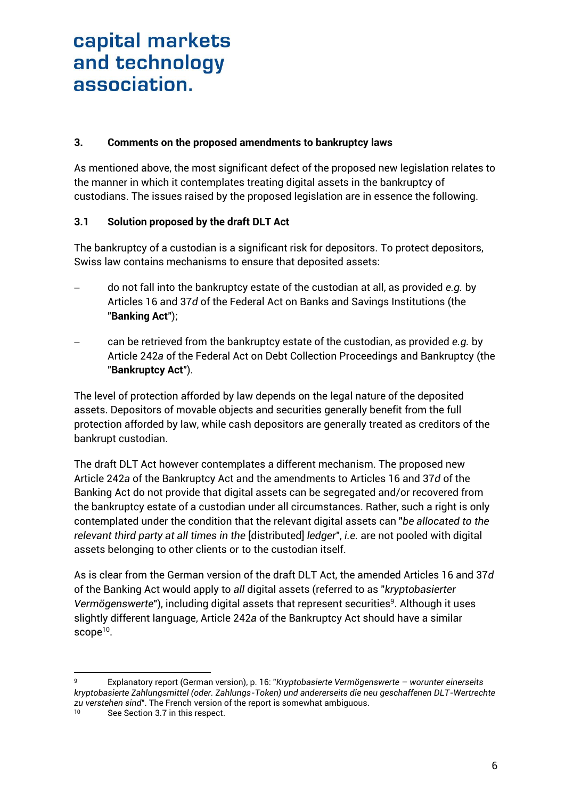### **3. Comments on the proposed amendments to bankruptcy laws**

As mentioned above, the most significant defect of the proposed new legislation relates to the manner in which it contemplates treating digital assets in the bankruptcy of custodians. The issues raised by the proposed legislation are in essence the following.

### **3.1 Solution proposed by the draft DLT Act**

The bankruptcy of a custodian is a significant risk for depositors. To protect depositors, Swiss law contains mechanisms to ensure that deposited assets:

- do not fall into the bankruptcy estate of the custodian at all, as provided *e.g.* by Articles 16 and 37*d* of the Federal Act on Banks and Savings Institutions (the "**Banking Act**");
- can be retrieved from the bankruptcy estate of the custodian, as provided *e.g.* by Article 242*a* of the Federal Act on Debt Collection Proceedings and Bankruptcy (the "**Bankruptcy Act**").

The level of protection afforded by law depends on the legal nature of the deposited assets. Depositors of movable objects and securities generally benefit from the full protection afforded by law, while cash depositors are generally treated as creditors of the bankrupt custodian.

The draft DLT Act however contemplates a different mechanism. The proposed new Article 242*a* of the Bankruptcy Act and the amendments to Articles 16 and 37*d* of the Banking Act do not provide that digital assets can be segregated and/or recovered from the bankruptcy estate of a custodian under all circumstances. Rather, such a right is only contemplated under the condition that the relevant digital assets can "*be allocated to the relevant third party at all times in the* [distributed] *ledger*", *i.e.* are not pooled with digital assets belonging to other clients or to the custodian itself.

As is clear from the German version of the draft DLT Act, the amended Articles 16 and 37*d*  of the Banking Act would apply to *all* digital assets (referred to as "*kryptobasierter*  Vermögenswerte"), including digital assets that represent securities<sup>9</sup>. Although it uses slightly different language, Article 242*a* of the Bankruptcy Act should have a similar scope<sup>10</sup>.

<sup>1</sup> <sup>9</sup> Explanatory report (German version), p. 16: "*Kryptobasierte Vermögenswerte – worunter einerseits kryptobasierte Zahlungsmittel (oder. Zahlungs-Token) und andererseits die neu geschaffenen DLT-Wertrechte zu verstehen sind*". The French version of the report is somewhat ambiguous.

See Section [3.7](#page-10-0) in this respect.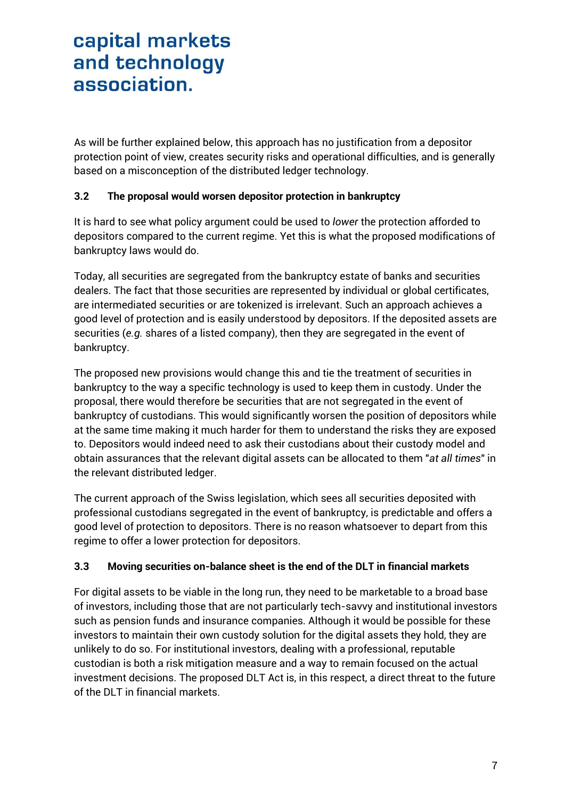As will be further explained below, this approach has no justification from a depositor protection point of view, creates security risks and operational difficulties, and is generally based on a misconception of the distributed ledger technology.

### <span id="page-6-0"></span>**3.2 The proposal would worsen depositor protection in bankruptcy**

It is hard to see what policy argument could be used to *lower* the protection afforded to depositors compared to the current regime. Yet this is what the proposed modifications of bankruptcy laws would do.

Today, all securities are segregated from the bankruptcy estate of banks and securities dealers. The fact that those securities are represented by individual or global certificates, are intermediated securities or are tokenized is irrelevant. Such an approach achieves a good level of protection and is easily understood by depositors. If the deposited assets are securities (*e.g.* shares of a listed company), then they are segregated in the event of bankruptcy.

The proposed new provisions would change this and tie the treatment of securities in bankruptcy to the way a specific technology is used to keep them in custody. Under the proposal, there would therefore be securities that are not segregated in the event of bankruptcy of custodians. This would significantly worsen the position of depositors while at the same time making it much harder for them to understand the risks they are exposed to. Depositors would indeed need to ask their custodians about their custody model and obtain assurances that the relevant digital assets can be allocated to them "*at all times*" in the relevant distributed ledger.

The current approach of the Swiss legislation, which sees all securities deposited with professional custodians segregated in the event of bankruptcy, is predictable and offers a good level of protection to depositors. There is no reason whatsoever to depart from this regime to offer a lower protection for depositors.

### <span id="page-6-1"></span>**3.3 Moving securities on-balance sheet is the end of the DLT in financial markets**

For digital assets to be viable in the long run, they need to be marketable to a broad base of investors, including those that are not particularly tech-savvy and institutional investors such as pension funds and insurance companies. Although it would be possible for these investors to maintain their own custody solution for the digital assets they hold, they are unlikely to do so. For institutional investors, dealing with a professional, reputable custodian is both a risk mitigation measure and a way to remain focused on the actual investment decisions. The proposed DLT Act is, in this respect, a direct threat to the future of the DLT in financial markets.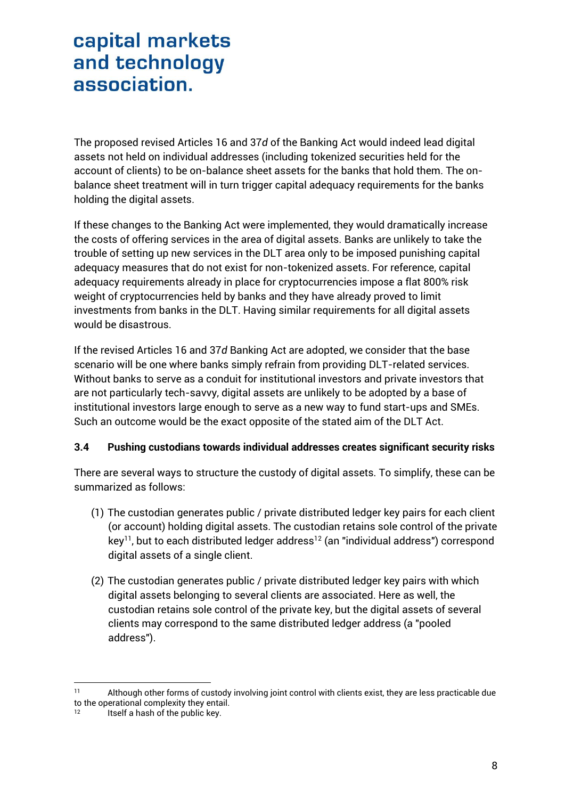The proposed revised Articles 16 and 37*d* of the Banking Act would indeed lead digital assets not held on individual addresses (including tokenized securities held for the account of clients) to be on-balance sheet assets for the banks that hold them. The onbalance sheet treatment will in turn trigger capital adequacy requirements for the banks holding the digital assets.

If these changes to the Banking Act were implemented, they would dramatically increase the costs of offering services in the area of digital assets. Banks are unlikely to take the trouble of setting up new services in the DLT area only to be imposed punishing capital adequacy measures that do not exist for non-tokenized assets. For reference, capital adequacy requirements already in place for cryptocurrencies impose a flat 800% risk weight of cryptocurrencies held by banks and they have already proved to limit investments from banks in the DLT. Having similar requirements for all digital assets would be disastrous.

If the revised Articles 16 and 37*d* Banking Act are adopted, we consider that the base scenario will be one where banks simply refrain from providing DLT-related services. Without banks to serve as a conduit for institutional investors and private investors that are not particularly tech-savvy, digital assets are unlikely to be adopted by a base of institutional investors large enough to serve as a new way to fund start-ups and SMEs. Such an outcome would be the exact opposite of the stated aim of the DLT Act.

### <span id="page-7-0"></span>**3.4 Pushing custodians towards individual addresses creates significant security risks**

There are several ways to structure the custody of digital assets. To simplify, these can be summarized as follows:

- (1) The custodian generates public / private distributed ledger key pairs for each client (or account) holding digital assets. The custodian retains sole control of the private  $key<sup>11</sup>$ , but to each distributed ledger address<sup>12</sup> (an "individual address") correspond digital assets of a single client.
- (2) The custodian generates public / private distributed ledger key pairs with which digital assets belonging to several clients are associated. Here as well, the custodian retains sole control of the private key, but the digital assets of several clients may correspond to the same distributed ledger address (a "pooled address").

 $11$ Although other forms of custody involving joint control with clients exist, they are less practicable due to the operational complexity they entail.

<sup>12</sup> Itself a hash of the public key.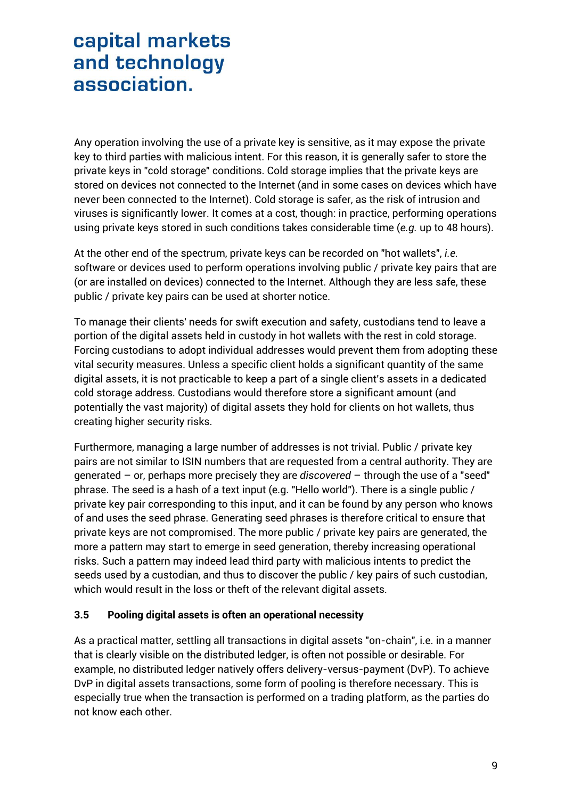Any operation involving the use of a private key is sensitive, as it may expose the private key to third parties with malicious intent. For this reason, it is generally safer to store the private keys in "cold storage" conditions. Cold storage implies that the private keys are stored on devices not connected to the Internet (and in some cases on devices which have never been connected to the Internet). Cold storage is safer, as the risk of intrusion and viruses is significantly lower. It comes at a cost, though: in practice, performing operations using private keys stored in such conditions takes considerable time (*e.g.* up to 48 hours).

At the other end of the spectrum, private keys can be recorded on "hot wallets", *i.e.* software or devices used to perform operations involving public / private key pairs that are (or are installed on devices) connected to the Internet. Although they are less safe, these public / private key pairs can be used at shorter notice.

To manage their clients' needs for swift execution and safety, custodians tend to leave a portion of the digital assets held in custody in hot wallets with the rest in cold storage. Forcing custodians to adopt individual addresses would prevent them from adopting these vital security measures. Unless a specific client holds a significant quantity of the same digital assets, it is not practicable to keep a part of a single client's assets in a dedicated cold storage address. Custodians would therefore store a significant amount (and potentially the vast majority) of digital assets they hold for clients on hot wallets, thus creating higher security risks.

Furthermore, managing a large number of addresses is not trivial. Public / private key pairs are not similar to ISIN numbers that are requested from a central authority. They are generated – or, perhaps more precisely they are *discovered* – through the use of a "seed" phrase. The seed is a hash of a text input (e.g. "Hello world"). There is a single public / private key pair corresponding to this input, and it can be found by any person who knows of and uses the seed phrase. Generating seed phrases is therefore critical to ensure that private keys are not compromised. The more public / private key pairs are generated, the more a pattern may start to emerge in seed generation, thereby increasing operational risks. Such a pattern may indeed lead third party with malicious intents to predict the seeds used by a custodian, and thus to discover the public / key pairs of such custodian, which would result in the loss or theft of the relevant digital assets.

### <span id="page-8-0"></span>**3.5 Pooling digital assets is often an operational necessity**

As a practical matter, settling all transactions in digital assets "on-chain", i.e. in a manner that is clearly visible on the distributed ledger, is often not possible or desirable. For example, no distributed ledger natively offers delivery-versus-payment (DvP). To achieve DvP in digital assets transactions, some form of pooling is therefore necessary. This is especially true when the transaction is performed on a trading platform, as the parties do not know each other.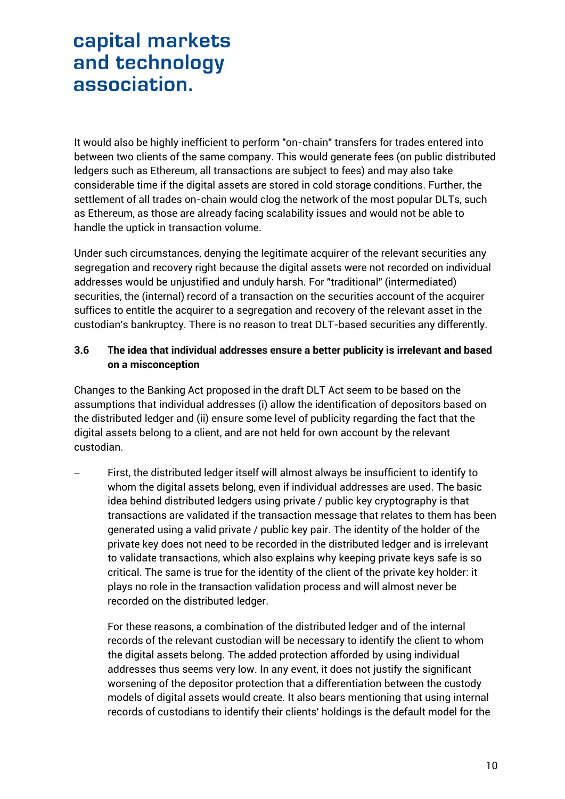It would also be highly inefficient to perform "on-chain" transfers for trades entered into between two clients of the same company. This would generate fees (on public distributed ledgers such as Ethereum, all transactions are subject to fees) and may also take considerable time if the digital assets are stored in cold storage conditions. Further, the settlement of all trades on-chain would clog the network of the most popular DLTs, such as Ethereum, as those are already facing scalability issues and would not be able to handle the uptick in transaction volume.

Under such circumstances, denying the legitimate acquirer of the relevant securities any segregation and recovery right because the digital assets were not recorded on individual addresses would be unjustified and unduly harsh. For "traditional" (intermediated) securities, the (internal) record of a transaction on the securities account of the acquirer suffices to entitle the acquirer to a segregation and recovery of the relevant asset in the custodian's bankruptcy. There is no reason to treat DLT-based securities any differently.

### <span id="page-9-0"></span>**3.6 The idea that individual addresses ensure a better publicity is irrelevant and based on a misconception**

Changes to the Banking Act proposed in the draft DLT Act seem to be based on the assumptions that individual addresses (i) allow the identification of depositors based on the distributed ledger and (ii) ensure some level of publicity regarding the fact that the digital assets belong to a client, and are not held for own account by the relevant custodian.

 First, the distributed ledger itself will almost always be insufficient to identify to whom the digital assets belong, even if individual addresses are used. The basic idea behind distributed ledgers using private / public key cryptography is that transactions are validated if the transaction message that relates to them has been generated using a valid private / public key pair. The identity of the holder of the private key does not need to be recorded in the distributed ledger and is irrelevant to validate transactions, which also explains why keeping private keys safe is so critical. The same is true for the identity of the client of the private key holder: it plays no role in the transaction validation process and will almost never be recorded on the distributed ledger.

For these reasons, a combination of the distributed ledger and of the internal records of the relevant custodian will be necessary to identify the client to whom the digital assets belong. The added protection afforded by using individual addresses thus seems very low. In any event, it does not justify the significant worsening of the depositor protection that a differentiation between the custody models of digital assets would create. It also bears mentioning that using internal records of custodians to identify their clients' holdings is the default model for the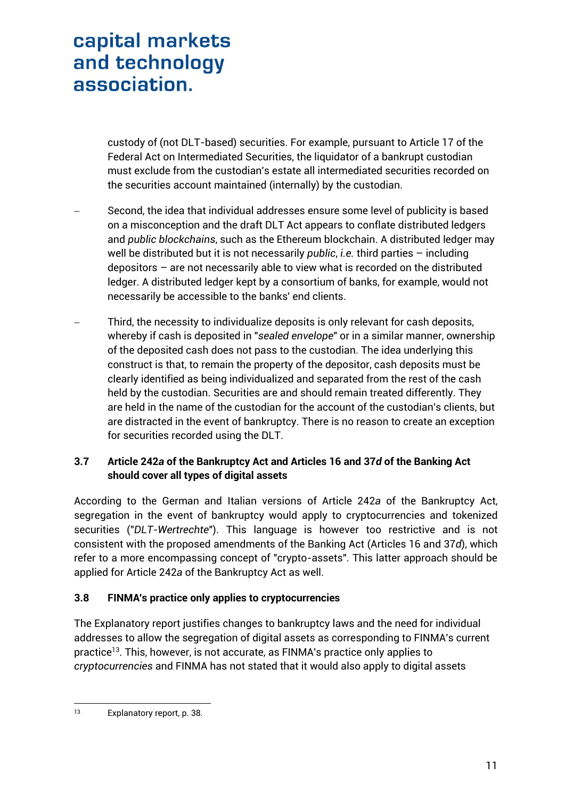custody of (not DLT-based) securities. For example, pursuant to Article 17 of the Federal Act on Intermediated Securities, the liquidator of a bankrupt custodian must exclude from the custodian's estate all intermediated securities recorded on the securities account maintained (internally) by the custodian.

- Second, the idea that individual addresses ensure some level of publicity is based on a misconception and the draft DLT Act appears to conflate distributed ledgers and *public blockchains*, such as the Ethereum blockchain. A distributed ledger may well be distributed but it is not necessarily *public*, *i.e.* third parties – including depositors – are not necessarily able to view what is recorded on the distributed ledger. A distributed ledger kept by a consortium of banks, for example, would not necessarily be accessible to the banks' end clients.
- Third, the necessity to individualize deposits is only relevant for cash deposits, whereby if cash is deposited in "*sealed envelope*" or in a similar manner, ownership of the deposited cash does not pass to the custodian. The idea underlying this construct is that, to remain the property of the depositor, cash deposits must be clearly identified as being individualized and separated from the rest of the cash held by the custodian. Securities are and should remain treated differently. They are held in the name of the custodian for the account of the custodian's clients, but are distracted in the event of bankruptcy. There is no reason to create an exception for securities recorded using the DLT.

### <span id="page-10-0"></span>**3.7 Article 242***a* **of the Bankruptcy Act and Articles 16 and 37***d* **of the Banking Act should cover all types of digital assets**

According to the German and Italian versions of Article 242*a* of the Bankruptcy Act, segregation in the event of bankruptcy would apply to cryptocurrencies and tokenized securities ("*DLT-Wertrechte*"). This language is however too restrictive and is not consistent with the proposed amendments of the Banking Act (Articles 16 and 37*d*), which refer to a more encompassing concept of "crypto-assets". This latter approach should be applied for Article 242*a* of the Bankruptcy Act as well.

## **3.8 FINMA's practice only applies to cryptocurrencies**

The Explanatory report justifies changes to bankruptcy laws and the need for individual addresses to allow the segregation of digital assets as corresponding to FINMA's current practice<sup>13</sup>. This, however, is not accurate, as FINMA's practice only applies to *cryptocurrencies* and FINMA has not stated that it would also apply to digital assets

 $13$ Explanatory report, p. 38.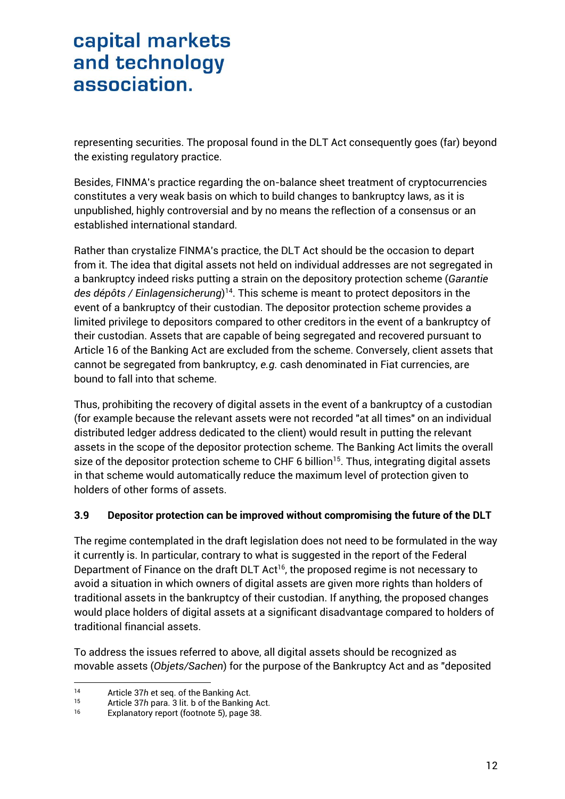representing securities. The proposal found in the DLT Act consequently goes (far) beyond the existing regulatory practice.

Besides, FINMA's practice regarding the on-balance sheet treatment of cryptocurrencies constitutes a very weak basis on which to build changes to bankruptcy laws, as it is unpublished, highly controversial and by no means the reflection of a consensus or an established international standard.

Rather than crystalize FINMA's practice, the DLT Act should be the occasion to depart from it. The idea that digital assets not held on individual addresses are not segregated in a bankruptcy indeed risks putting a strain on the depository protection scheme (*Garantie des dépôts / Einlagensicherung*) 14 . This scheme is meant to protect depositors in the event of a bankruptcy of their custodian. The depositor protection scheme provides a limited privilege to depositors compared to other creditors in the event of a bankruptcy of their custodian. Assets that are capable of being segregated and recovered pursuant to Article 16 of the Banking Act are excluded from the scheme. Conversely, client assets that cannot be segregated from bankruptcy, *e.g.* cash denominated in Fiat currencies, are bound to fall into that scheme.

Thus, prohibiting the recovery of digital assets in the event of a bankruptcy of a custodian (for example because the relevant assets were not recorded "at all times" on an individual distributed ledger address dedicated to the client) would result in putting the relevant assets in the scope of the depositor protection scheme. The Banking Act limits the overall size of the depositor protection scheme to CHF 6 billion<sup>15</sup>. Thus, integrating digital assets in that scheme would automatically reduce the maximum level of protection given to holders of other forms of assets.

### **3.9 Depositor protection can be improved without compromising the future of the DLT**

The regime contemplated in the draft legislation does not need to be formulated in the way it currently is. In particular, contrary to what is suggested in the report of the Federal Department of Finance on the draft DLT Act<sup>16</sup>, the proposed regime is not necessary to avoid a situation in which owners of digital assets are given more rights than holders of traditional assets in the bankruptcy of their custodian. If anything, the proposed changes would place holders of digital assets at a significant disadvantage compared to holders of traditional financial assets.

To address the issues referred to above, all digital assets should be recognized as movable assets (*Objets/Sachen*) for the purpose of the Bankruptcy Act and as "deposited

 $14$ 14 Article 37h et seq. of the Banking Act.<br>15 Article 37h para 3 lit b of the Banking

<sup>15</sup> Article 37*h* para. 3 lit. b of the Banking Act.<br>16 Explanatory report (footpote 5) page 38

Explanatory report (footnote 5), page 38.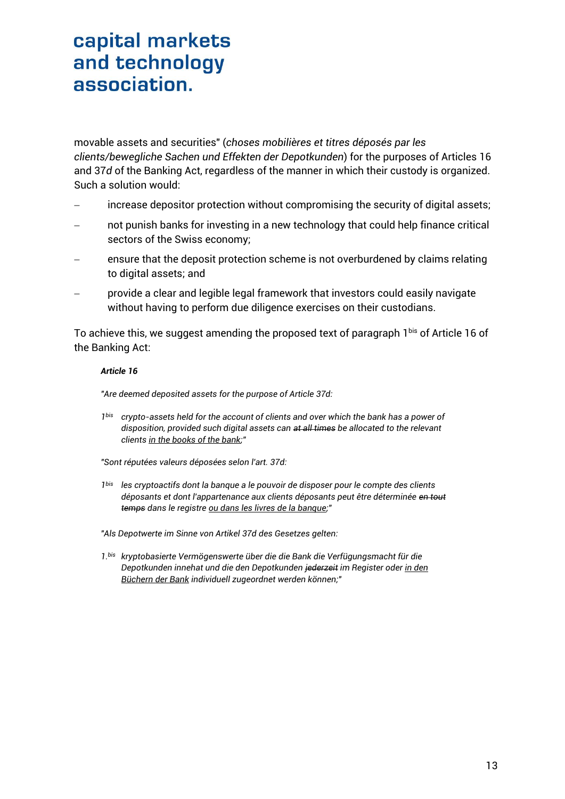movable assets and securities" (*choses mobilières et titres déposés par les clients/bewegliche Sachen und Effekten der Depotkunden*) for the purposes of Articles 16 and 37*d* of the Banking Act, regardless of the manner in which their custody is organized. Such a solution would:

- increase depositor protection without compromising the security of digital assets;
- not punish banks for investing in a new technology that could help finance critical sectors of the Swiss economy;
- ensure that the deposit protection scheme is not overburdened by claims relating to digital assets; and
- provide a clear and legible legal framework that investors could easily navigate without having to perform due diligence exercises on their custodians.

To achieve this, we suggest amending the proposed text of paragraph 1bis of Article 16 of the Banking Act:

#### *Article 16*

*"Are deemed deposited assets for the purpose of Article 37d:*

*1bis crypto-assets held for the account of clients and over which the bank has a power of disposition, provided such digital assets can at all times be allocated to the relevant clients in the books of the bank;"*

*"Sont réputées valeurs déposées selon l'art. 37d:*

*1bis les cryptoactifs dont la banque a le pouvoir de disposer pour le compte des clients déposants et dont l'appartenance aux clients déposants peut être déterminée en tout temps dans le registre ou dans les livres de la banque;"*

*"Als Depotwerte im Sinne von Artikel 37d des Gesetzes gelten:*

*1.bis kryptobasierte Vermögenswerte über die die Bank die Verfügungsmacht für die Depotkunden innehat und die den Depotkunden jederzeit im Register oder in den Büchern der Bank individuell zugeordnet werden können;"*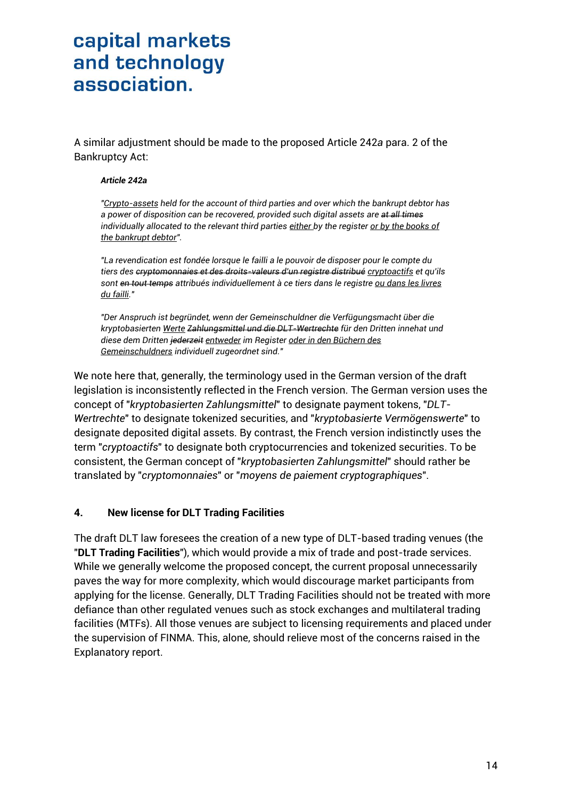A similar adjustment should be made to the proposed Article 242*a* para. 2 of the Bankruptcy Act:

#### *Article 242a*

*"Crypto-assets held for the account of third parties and over which the bankrupt debtor has a power of disposition can be recovered, provided such digital assets are at all times individually allocated to the relevant third parties either by the register or by the books of the bankrupt debtor".*

*"La revendication est fondée lorsque le failli a le pouvoir de disposer pour le compte du tiers des cryptomonnaies et des droits-valeurs d'un registre distribué cryptoactifs et qu'ils sont en tout temps attribués individuellement à ce tiers dans le registre ou dans les livres du failli."*

*"Der Anspruch ist begründet, wenn der Gemeinschuldner die Verfügungsmacht über die kryptobasierten Werte Zahlungsmittel und die DLT-Wertrechte für den Dritten innehat und diese dem Dritten jederzeit entweder im Register oder in den Büchern des Gemeinschuldners individuell zugeordnet sind."*

We note here that, generally, the terminology used in the German version of the draft legislation is inconsistently reflected in the French version. The German version uses the concept of "*kryptobasierten Zahlungsmittel*" to designate payment tokens, "*DLT-Wertrechte*" to designate tokenized securities, and "*kryptobasierte Vermögenswerte*" to designate deposited digital assets. By contrast, the French version indistinctly uses the term "*cryptoactifs*" to designate both cryptocurrencies and tokenized securities. To be consistent, the German concept of "*kryptobasierten Zahlungsmittel*" should rather be translated by "*cryptomonnaies*" or "*moyens de paiement cryptographiques*".

### **4. New license for DLT Trading Facilities**

The draft DLT law foresees the creation of a new type of DLT-based trading venues (the "**DLT Trading Facilities**"), which would provide a mix of trade and post-trade services. While we generally welcome the proposed concept, the current proposal unnecessarily paves the way for more complexity, which would discourage market participants from applying for the license. Generally, DLT Trading Facilities should not be treated with more defiance than other regulated venues such as stock exchanges and multilateral trading facilities (MTFs). All those venues are subject to licensing requirements and placed under the supervision of FINMA. This, alone, should relieve most of the concerns raised in the Explanatory report.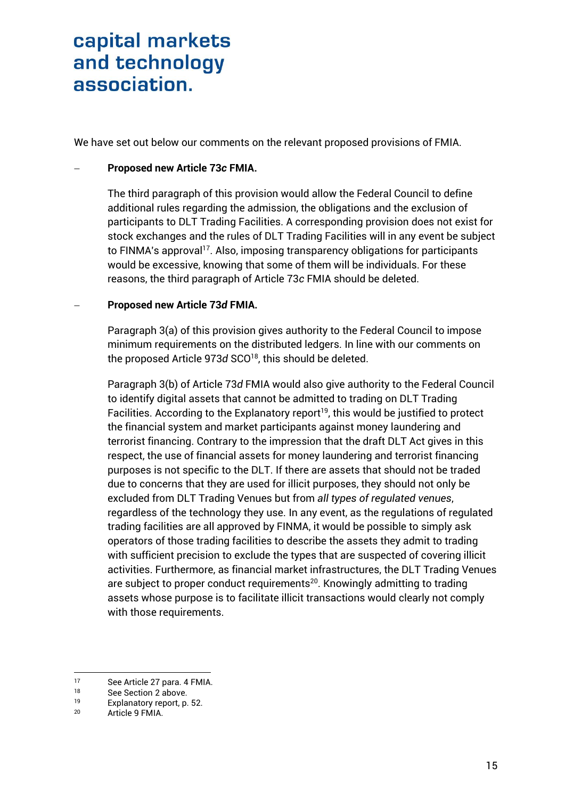We have set out below our comments on the relevant proposed provisions of FMIA.

### **Proposed new Article 73***c* **FMIA.**

The third paragraph of this provision would allow the Federal Council to define additional rules regarding the admission, the obligations and the exclusion of participants to DLT Trading Facilities. A corresponding provision does not exist for stock exchanges and the rules of DLT Trading Facilities will in any event be subject to FINMA's approval<sup>17</sup>. Also, imposing transparency obligations for participants would be excessive, knowing that some of them will be individuals. For these reasons, the third paragraph of Article 73*c* FMIA should be deleted.

#### **Proposed new Article 73***d* **FMIA.**

Paragraph 3(a) of this provision gives authority to the Federal Council to impose minimum requirements on the distributed ledgers. In line with our comments on the proposed Article 973*d* SCO<sup>18</sup> , this should be deleted.

Paragraph 3(b) of Article 73*d* FMIA would also give authority to the Federal Council to identify digital assets that cannot be admitted to trading on DLT Trading Facilities. According to the Explanatory report<sup>19</sup>, this would be justified to protect the financial system and market participants against money laundering and terrorist financing. Contrary to the impression that the draft DLT Act gives in this respect, the use of financial assets for money laundering and terrorist financing purposes is not specific to the DLT. If there are assets that should not be traded due to concerns that they are used for illicit purposes, they should not only be excluded from DLT Trading Venues but from *all types of regulated venues*, regardless of the technology they use. In any event, as the regulations of regulated trading facilities are all approved by FINMA, it would be possible to simply ask operators of those trading facilities to describe the assets they admit to trading with sufficient precision to exclude the types that are suspected of covering illicit activities. Furthermore, as financial market infrastructures, the DLT Trading Venues are subject to proper conduct requirements <sup>20</sup>. Knowingly admitting to trading assets whose purpose is to facilitate illicit transactions would clearly not comply with those requirements.

<sup>1</sup> 17 See Article 27 para. 4 FMIA.<br>18 See Section 2 above

 $18$  See Section [2](#page-2-0) above.<br> $19$  Explanatory report p

<sup>&</sup>lt;sup>19</sup> Explanatory report, p. 52.<br>20 Article 9 EMIA

Article 9 FMIA.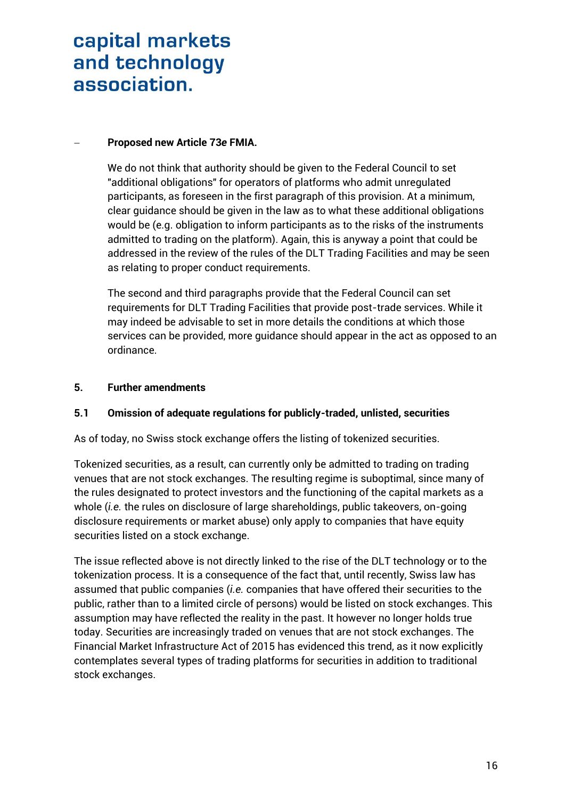### **Proposed new Article 73***e* **FMIA.**

We do not think that authority should be given to the Federal Council to set "additional obligations" for operators of platforms who admit unregulated participants, as foreseen in the first paragraph of this provision. At a minimum, clear guidance should be given in the law as to what these additional obligations would be (e.g. obligation to inform participants as to the risks of the instruments admitted to trading on the platform). Again, this is anyway a point that could be addressed in the review of the rules of the DLT Trading Facilities and may be seen as relating to proper conduct requirements.

The second and third paragraphs provide that the Federal Council can set requirements for DLT Trading Facilities that provide post-trade services. While it may indeed be advisable to set in more details the conditions at which those services can be provided, more guidance should appear in the act as opposed to an ordinance.

### **5. Further amendments**

### **5.1 Omission of adequate regulations for publicly-traded, unlisted, securities**

As of today, no Swiss stock exchange offers the listing of tokenized securities.

Tokenized securities, as a result, can currently only be admitted to trading on trading venues that are not stock exchanges. The resulting regime is suboptimal, since many of the rules designated to protect investors and the functioning of the capital markets as a whole (*i.e.* the rules on disclosure of large shareholdings, public takeovers, on-going disclosure requirements or market abuse) only apply to companies that have equity securities listed on a stock exchange.

The issue reflected above is not directly linked to the rise of the DLT technology or to the tokenization process. It is a consequence of the fact that, until recently, Swiss law has assumed that public companies (*i.e.* companies that have offered their securities to the public, rather than to a limited circle of persons) would be listed on stock exchanges. This assumption may have reflected the reality in the past. It however no longer holds true today. Securities are increasingly traded on venues that are not stock exchanges. The Financial Market Infrastructure Act of 2015 has evidenced this trend, as it now explicitly contemplates several types of trading platforms for securities in addition to traditional stock exchanges.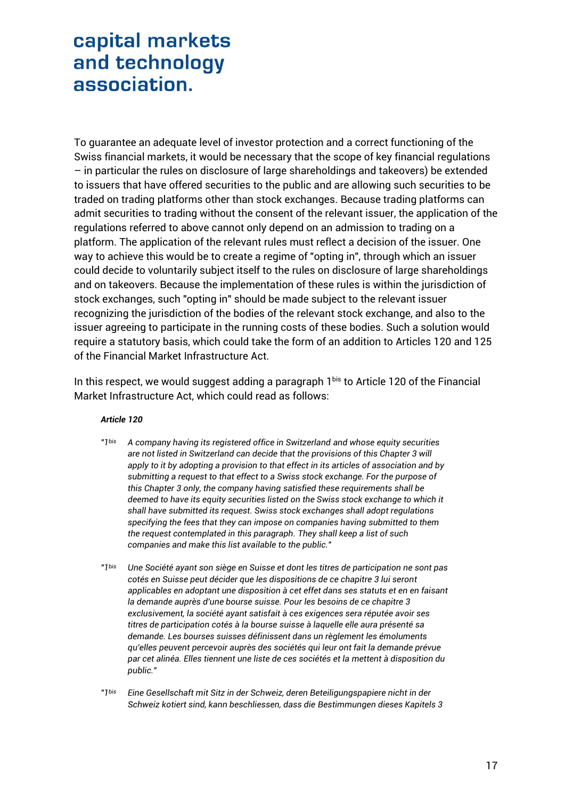To guarantee an adequate level of investor protection and a correct functioning of the Swiss financial markets, it would be necessary that the scope of key financial regulations – in particular the rules on disclosure of large shareholdings and takeovers) be extended to issuers that have offered securities to the public and are allowing such securities to be traded on trading platforms other than stock exchanges. Because trading platforms can admit securities to trading without the consent of the relevant issuer, the application of the regulations referred to above cannot only depend on an admission to trading on a platform. The application of the relevant rules must reflect a decision of the issuer. One way to achieve this would be to create a regime of "opting in", through which an issuer could decide to voluntarily subject itself to the rules on disclosure of large shareholdings and on takeovers. Because the implementation of these rules is within the jurisdiction of stock exchanges, such "opting in" should be made subject to the relevant issuer recognizing the jurisdiction of the bodies of the relevant stock exchange, and also to the issuer agreeing to participate in the running costs of these bodies. Such a solution would require a statutory basis, which could take the form of an addition to Articles 120 and 125 of the Financial Market Infrastructure Act.

In this respect, we would suggest adding a paragraph 1bis to Article 120 of the Financial Market Infrastructure Act, which could read as follows:

#### *Article 120*

- *"1bis A company having its registered office in Switzerland and whose equity securities are not listed in Switzerland can decide that the provisions of this Chapter 3 will apply to it by adopting a provision to that effect in its articles of association and by submitting a request to that effect to a Swiss stock exchange. For the purpose of this Chapter 3 only, the company having satisfied these requirements shall be deemed to have its equity securities listed on the Swiss stock exchange to which it shall have submitted its request. Swiss stock exchanges shall adopt regulations specifying the fees that they can impose on companies having submitted to them the request contemplated in this paragraph. They shall keep a list of such companies and make this list available to the public."*
- *"1bis Une Société ayant son siège en Suisse et dont les titres de participation ne sont pas cotés en Suisse peut décider que les dispositions de ce chapitre 3 lui seront applicables en adoptant une disposition à cet effet dans ses statuts et en en faisant la demande auprès d'une bourse suisse. Pour les besoins de ce chapitre 3 exclusivement, la société ayant satisfait à ces exigences sera réputée avoir ses titres de participation cotés à la bourse suisse à laquelle elle aura présenté sa demande. Les bourses suisses définissent dans un règlement les émoluments qu'elles peuvent percevoir auprès des sociétés qui leur ont fait la demande prévue par cet alinéa. Elles tiennent une liste de ces sociétés et la mettent à disposition du public."*

*"1bis Eine Gesellschaft mit Sitz in der Schweiz, deren Beteiligungspapiere nicht in der Schweiz kotiert sind, kann beschliessen, dass die Bestimmungen dieses Kapitels 3*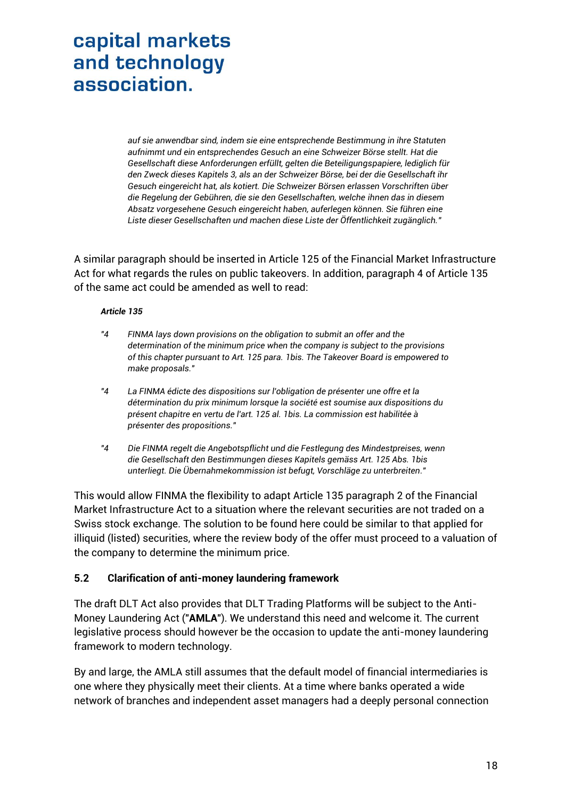*auf sie anwendbar sind, indem sie eine entsprechende Bestimmung in ihre Statuten aufnimmt und ein entsprechendes Gesuch an eine Schweizer Börse stellt. Hat die Gesellschaft diese Anforderungen erfüllt, gelten die Beteiligungspapiere, lediglich für den Zweck dieses Kapitels 3, als an der Schweizer Börse, bei der die Gesellschaft ihr Gesuch eingereicht hat, als kotiert. Die Schweizer Börsen erlassen Vorschriften über die Regelung der Gebühren, die sie den Gesellschaften, welche ihnen das in diesem Absatz vorgesehene Gesuch eingereicht haben, auferlegen können. Sie führen eine Liste dieser Gesellschaften und machen diese Liste der Öffentlichkeit zugänglich."*

A similar paragraph should be inserted in Article 125 of the Financial Market Infrastructure Act for what regards the rules on public takeovers. In addition, paragraph 4 of Article 135 of the same act could be amended as well to read:

#### *Article 135*

- *"4 FINMA lays down provisions on the obligation to submit an offer and the determination of the minimum price when the company is subject to the provisions of this chapter pursuant to Art. 125 para. 1bis. The Takeover Board is empowered to make proposals."*
- *"4 La FINMA édicte des dispositions sur l'obligation de présenter une offre et la détermination du prix minimum lorsque la société est soumise aux dispositions du présent chapitre en vertu de l'art. 125 al. 1bis. La commission est habilitée à présenter des propositions."*
- *"4 Die FINMA regelt die Angebotspflicht und die Festlegung des Mindestpreises, wenn die Gesellschaft den Bestimmungen dieses Kapitels gemäss Art. 125 Abs. 1bis unterliegt. Die Übernahmekommission ist befugt, Vorschläge zu unterbreiten."*

This would allow FINMA the flexibility to adapt Article 135 paragraph 2 of the Financial Market Infrastructure Act to a situation where the relevant securities are not traded on a Swiss stock exchange. The solution to be found here could be similar to that applied for illiquid (listed) securities, where the review body of the offer must proceed to a valuation of the company to determine the minimum price.

### **5.2 Clarification of anti-money laundering framework**

The draft DLT Act also provides that DLT Trading Platforms will be subject to the Anti-Money Laundering Act ("**AMLA**"). We understand this need and welcome it. The current legislative process should however be the occasion to update the anti-money laundering framework to modern technology.

By and large, the AMLA still assumes that the default model of financial intermediaries is one where they physically meet their clients. At a time where banks operated a wide network of branches and independent asset managers had a deeply personal connection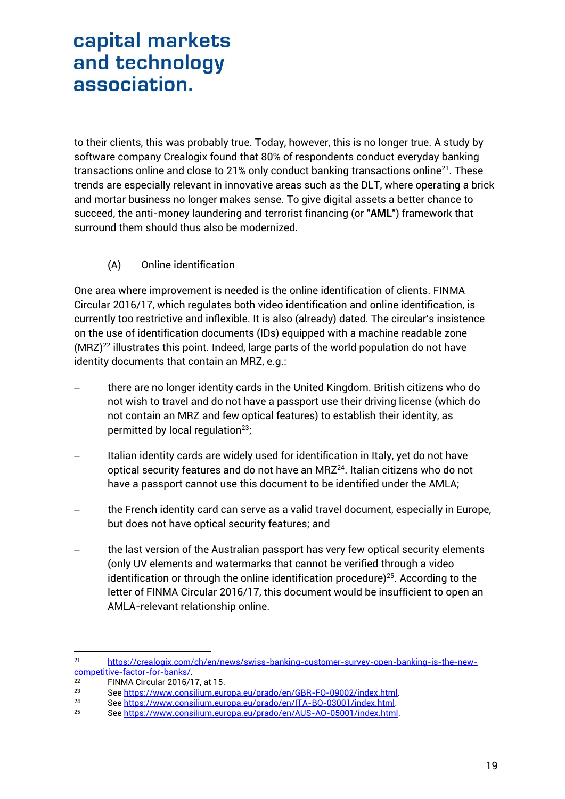to their clients, this was probably true. Today, however, this is no longer true. A study by software company Crealogix found that 80% of respondents conduct everyday banking transactions online and close to 21% only conduct banking transactions online<sup>21</sup>. These trends are especially relevant in innovative areas such as the DLT, where operating a brick and mortar business no longer makes sense. To give digital assets a better chance to succeed, the anti-money laundering and terrorist financing (or "**AML**") framework that surround them should thus also be modernized.

### (A) Online identification

One area where improvement is needed is the online identification of clients. FINMA Circular 2016/17, which regulates both video identification and online identification, is currently too restrictive and inflexible. It is also (already) dated. The circular's insistence on the use of identification documents (IDs) equipped with a machine readable zone  $(MRZ)^{22}$  illustrates this point. Indeed, large parts of the world population do not have identity documents that contain an MRZ, e.g.:

- there are no longer identity cards in the United Kingdom. British citizens who do not wish to travel and do not have a passport use their driving license (which do not contain an MRZ and few optical features) to establish their identity, as permitted by local regulation<sup>23</sup>;
- Italian identity cards are widely used for identification in Italy, yet do not have optical security features and do not have an MRZ<sup>24</sup>. Italian citizens who do not have a passport cannot use this document to be identified under the AMLA;
- the French identity card can serve as a valid travel document, especially in Europe, but does not have optical security features; and
- the last version of the Australian passport has very few optical security elements (only UV elements and watermarks that cannot be verified through a video identification or through the online identification procedure) $25$ . According to the letter of FINMA Circular 2016/17, this document would be insufficient to open an AMLA-relevant relationship online.

 $21$ <sup>21</sup> [https://crealogix.com/ch/en/news/swiss-banking-customer-survey-open-banking-is-the-new](https://crealogix.com/ch/en/news/swiss-banking-customer-survey-open-banking-is-the-new-competitive-factor-for-banks/)[competitive-factor-for-banks/.](https://crealogix.com/ch/en/news/swiss-banking-customer-survey-open-banking-is-the-new-competitive-factor-for-banks/)<br>22 EINMA Circular 2016/1

 $^{22}$  FINMA Circular 2016/17, at 15.<br> $^{23}$  See https://www.consilium.our

<sup>23</sup> Se[e https://www.consilium.europa.eu/prado/en/GBR-FO-09002/index.html.](https://www.consilium.europa.eu/prado/en/GBR-FO-09002/index.html)<br>24 See https://www.consilium.europa.eu/prado/en/LTA-BO-03001/index.html

<sup>24</sup> Se[e https://www.consilium.europa.eu/prado/en/ITA-BO-03001/index.html.](https://www.consilium.europa.eu/prado/en/ITA-BO-03001/index.html)<br>25 See https://www.consilium.europa.eu/prado/en/AUS-AO-05001/index.html

<sup>25</sup> Se[e https://www.consilium.europa.eu/prado/en/AUS-AO-05001/index.html.](https://www.consilium.europa.eu/prado/en/AUS-AO-05001/index.html)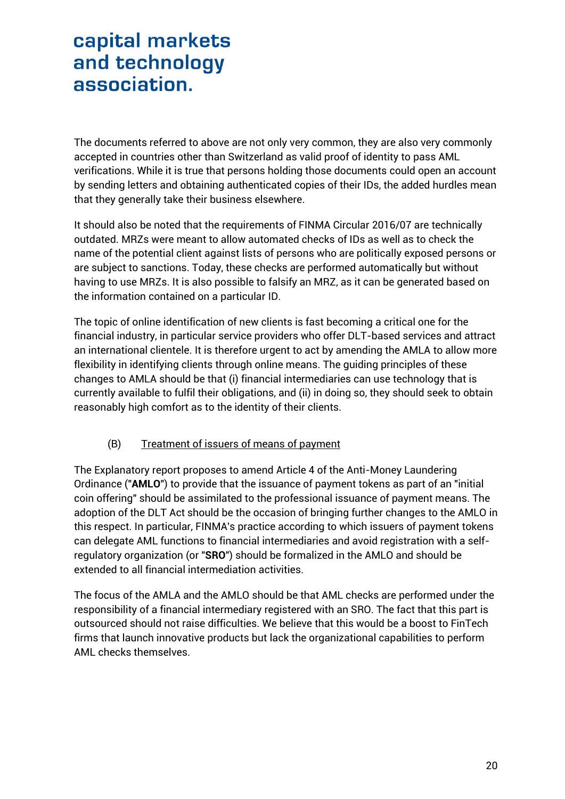The documents referred to above are not only very common, they are also very commonly accepted in countries other than Switzerland as valid proof of identity to pass AML verifications. While it is true that persons holding those documents could open an account by sending letters and obtaining authenticated copies of their IDs, the added hurdles mean that they generally take their business elsewhere.

It should also be noted that the requirements of FINMA Circular 2016/07 are technically outdated. MRZs were meant to allow automated checks of IDs as well as to check the name of the potential client against lists of persons who are politically exposed persons or are subject to sanctions. Today, these checks are performed automatically but without having to use MRZs. It is also possible to falsify an MRZ, as it can be generated based on the information contained on a particular ID.

The topic of online identification of new clients is fast becoming a critical one for the financial industry, in particular service providers who offer DLT-based services and attract an international clientele. It is therefore urgent to act by amending the AMLA to allow more flexibility in identifying clients through online means. The guiding principles of these changes to AMLA should be that (i) financial intermediaries can use technology that is currently available to fulfil their obligations, and (ii) in doing so, they should seek to obtain reasonably high comfort as to the identity of their clients.

### (B) Treatment of issuers of means of payment

The Explanatory report proposes to amend Article 4 of the Anti-Money Laundering Ordinance ("**AMLO**") to provide that the issuance of payment tokens as part of an "initial coin offering" should be assimilated to the professional issuance of payment means. The adoption of the DLT Act should be the occasion of bringing further changes to the AMLO in this respect. In particular, FINMA's practice according to which issuers of payment tokens can delegate AML functions to financial intermediaries and avoid registration with a selfregulatory organization (or "**SRO**") should be formalized in the AMLO and should be extended to all financial intermediation activities.

The focus of the AMLA and the AMLO should be that AML checks are performed under the responsibility of a financial intermediary registered with an SRO. The fact that this part is outsourced should not raise difficulties. We believe that this would be a boost to FinTech firms that launch innovative products but lack the organizational capabilities to perform AML checks themselves.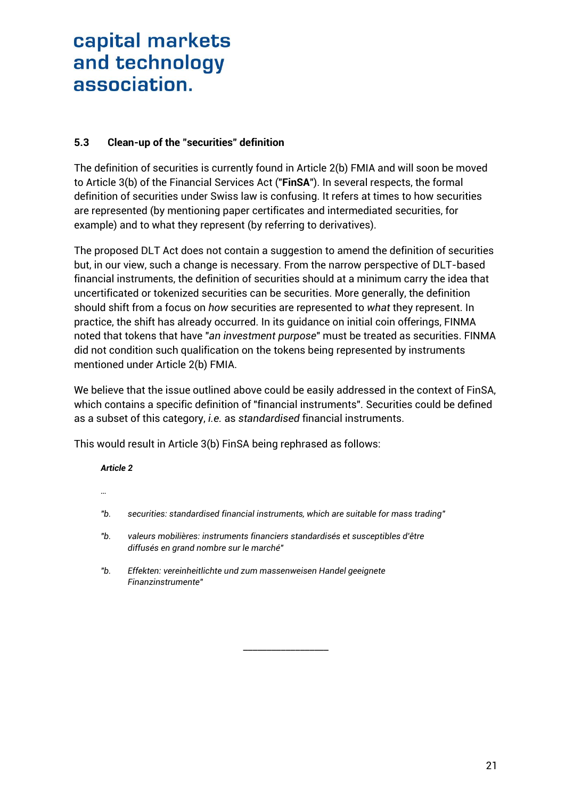### **5.3 Clean-up of the "securities" definition**

The definition of securities is currently found in Article 2(b) FMIA and will soon be moved to Article 3(b) of the Financial Services Act ("**FinSA**"). In several respects, the formal definition of securities under Swiss law is confusing. It refers at times to how securities are represented (by mentioning paper certificates and intermediated securities, for example) and to what they represent (by referring to derivatives).

The proposed DLT Act does not contain a suggestion to amend the definition of securities but, in our view, such a change is necessary. From the narrow perspective of DLT-based financial instruments, the definition of securities should at a minimum carry the idea that uncertificated or tokenized securities can be securities. More generally, the definition should shift from a focus on *how* securities are represented to *what* they represent. In practice, the shift has already occurred. In its guidance on initial coin offerings, FINMA noted that tokens that have "*an investment purpose*" must be treated as securities. FINMA did not condition such qualification on the tokens being represented by instruments mentioned under Article 2(b) FMIA.

We believe that the issue outlined above could be easily addressed in the context of FinSA, which contains a specific definition of "financial instruments". Securities could be defined as a subset of this category, *i.e.* as *standardised* financial instruments.

This would result in Article 3(b) FinSA being rephrased as follows:

### *Article 2*

- *…*
- *"b. securities: standardised financial instruments, which are suitable for mass trading"*

\_\_\_\_\_\_\_\_\_\_\_\_\_\_\_\_\_\_

- *"b. valeurs mobilières: instruments financiers standardisés et susceptibles d'être diffusés en grand nombre sur le marché"*
- *"b. Effekten: vereinheitlichte und zum massenweisen Handel geeignete Finanzinstrumente"*